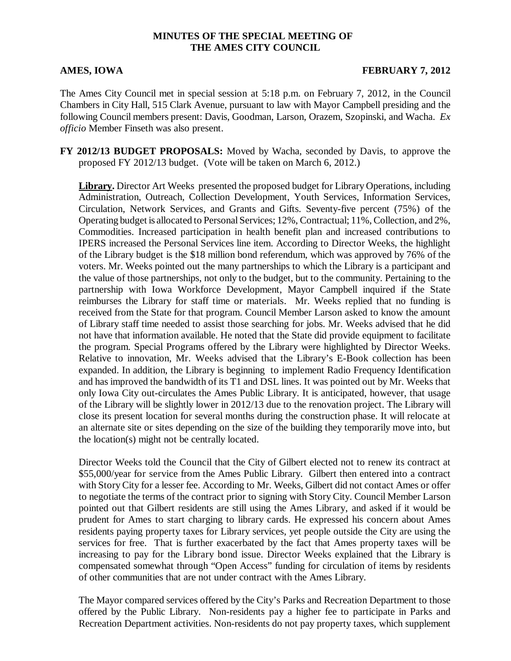## **MINUTES OF THE SPECIAL MEETING OF THE AMES CITY COUNCIL**

### **AMES, IOWA FEBRUARY 7, 2012**

The Ames City Council met in special session at 5:18 p.m. on February 7, 2012, in the Council Chambers in City Hall, 515 Clark Avenue, pursuant to law with Mayor Campbell presiding and the following Council members present: Davis, Goodman, Larson, Orazem, Szopinski, and Wacha. *Ex officio* Member Finseth was also present.

**FY 2012/13 BUDGET PROPOSALS:** Moved by Wacha, seconded by Davis, to approve the proposed FY 2012/13 budget. (Vote will be taken on March 6, 2012.)

**Library.** Director Art Weeks presented the proposed budget for Library Operations, including Administration, Outreach, Collection Development, Youth Services, Information Services, Circulation, Network Services, and Grants and Gifts. Seventy-five percent (75%) of the Operating budget is allocated to Personal Services; 12%, Contractual; 11%, Collection, and 2%, Commodities. Increased participation in health benefit plan and increased contributions to IPERS increased the Personal Services line item. According to Director Weeks, the highlight of the Library budget is the \$18 million bond referendum, which was approved by 76% of the voters. Mr. Weeks pointed out the many partnerships to which the Library is a participant and the value of those partnerships, not only to the budget, but to the community. Pertaining to the partnership with Iowa Workforce Development, Mayor Campbell inquired if the State reimburses the Library for staff time or materials. Mr. Weeks replied that no funding is received from the State for that program. Council Member Larson asked to know the amount of Library staff time needed to assist those searching for jobs. Mr. Weeks advised that he did not have that information available. He noted that the State did provide equipment to facilitate the program. Special Programs offered by the Library were highlighted by Director Weeks. Relative to innovation, Mr. Weeks advised that the Library's E-Book collection has been expanded. In addition, the Library is beginning to implement Radio Frequency Identification and has improved the bandwidth of its T1 and DSL lines. It was pointed out by Mr. Weeks that only Iowa City out-circulates the Ames Public Library. It is anticipated, however, that usage of the Library will be slightly lower in 2012/13 due to the renovation project. The Library will close its present location for several months during the construction phase. It will relocate at an alternate site or sites depending on the size of the building they temporarily move into, but the location(s) might not be centrally located.

Director Weeks told the Council that the City of Gilbert elected not to renew its contract at \$55,000/year for service from the Ames Public Library. Gilbert then entered into a contract with Story City for a lesser fee. According to Mr. Weeks, Gilbert did not contact Ames or offer to negotiate the terms of the contract prior to signing with Story City. Council Member Larson pointed out that Gilbert residents are still using the Ames Library, and asked if it would be prudent for Ames to start charging to library cards. He expressed his concern about Ames residents paying property taxes for Library services, yet people outside the City are using the services for free. That is further exacerbated by the fact that Ames property taxes will be increasing to pay for the Library bond issue. Director Weeks explained that the Library is compensated somewhat through "Open Access" funding for circulation of items by residents of other communities that are not under contract with the Ames Library.

The Mayor compared services offered by the City's Parks and Recreation Department to those offered by the Public Library. Non-residents pay a higher fee to participate in Parks and Recreation Department activities. Non-residents do not pay property taxes, which supplement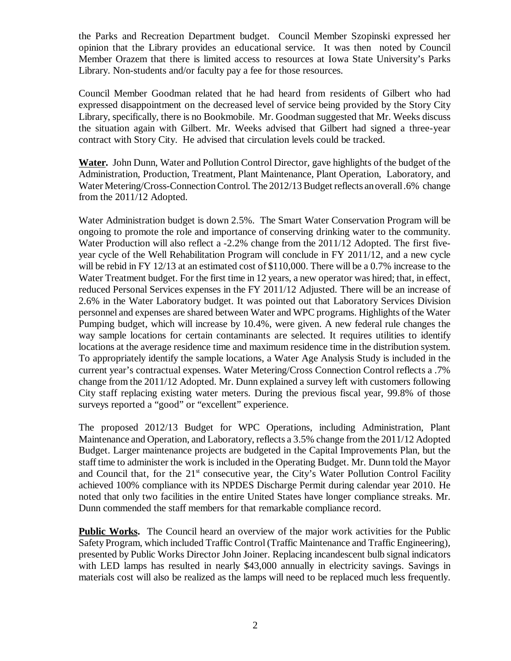the Parks and Recreation Department budget. Council Member Szopinski expressed her opinion that the Library provides an educational service. It was then noted by Council Member Orazem that there is limited access to resources at Iowa State University's Parks Library. Non-students and/or faculty pay a fee for those resources.

Council Member Goodman related that he had heard from residents of Gilbert who had expressed disappointment on the decreased level of service being provided by the Story City Library, specifically, there is no Bookmobile. Mr. Goodman suggested that Mr. Weeks discuss the situation again with Gilbert. Mr. Weeks advised that Gilbert had signed a three-year contract with Story City. He advised that circulation levels could be tracked.

**Water.** John Dunn, Water and Pollution Control Director, gave highlights of the budget of the Administration, Production, Treatment, Plant Maintenance, Plant Operation, Laboratory, and Water Metering/Cross-Connection Control. The 2012/13 Budget reflects an overall .6% change from the 2011/12 Adopted.

Water Administration budget is down 2.5%. The Smart Water Conservation Program will be ongoing to promote the role and importance of conserving drinking water to the community. Water Production will also reflect a -2.2% change from the 2011/12 Adopted. The first fiveyear cycle of the Well Rehabilitation Program will conclude in FY 2011/12, and a new cycle will be rebid in FY 12/13 at an estimated cost of \$110,000. There will be a 0.7% increase to the Water Treatment budget. For the first time in 12 years, a new operator was hired; that, in effect, reduced Personal Services expenses in the FY 2011/12 Adjusted. There will be an increase of 2.6% in the Water Laboratory budget. It was pointed out that Laboratory Services Division personnel and expenses are shared between Water and WPC programs. Highlights of the Water Pumping budget, which will increase by 10.4%, were given. A new federal rule changes the way sample locations for certain contaminants are selected. It requires utilities to identify locations at the average residence time and maximum residence time in the distribution system. To appropriately identify the sample locations, a Water Age Analysis Study is included in the current year's contractual expenses. Water Metering/Cross Connection Control reflects a .7% change from the 2011/12 Adopted. Mr. Dunn explained a survey left with customers following City staff replacing existing water meters. During the previous fiscal year, 99.8% of those surveys reported a "good" or "excellent" experience.

The proposed 2012/13 Budget for WPC Operations, including Administration, Plant Maintenance and Operation, and Laboratory, reflects a 3.5% change from the 2011/12 Adopted Budget. Larger maintenance projects are budgeted in the Capital Improvements Plan, but the staff time to administer the work is included in the Operating Budget. Mr. Dunn told the Mayor and Council that, for the  $21<sup>st</sup>$  consecutive year, the City's Water Pollution Control Facility achieved 100% compliance with its NPDES Discharge Permit during calendar year 2010. He noted that only two facilities in the entire United States have longer compliance streaks. Mr. Dunn commended the staff members for that remarkable compliance record.

**Public Works.** The Council heard an overview of the major work activities for the Public Safety Program, which included Traffic Control (Traffic Maintenance and Traffic Engineering), presented by Public Works Director John Joiner. Replacing incandescent bulb signal indicators with LED lamps has resulted in nearly \$43,000 annually in electricity savings. Savings in materials cost will also be realized as the lamps will need to be replaced much less frequently.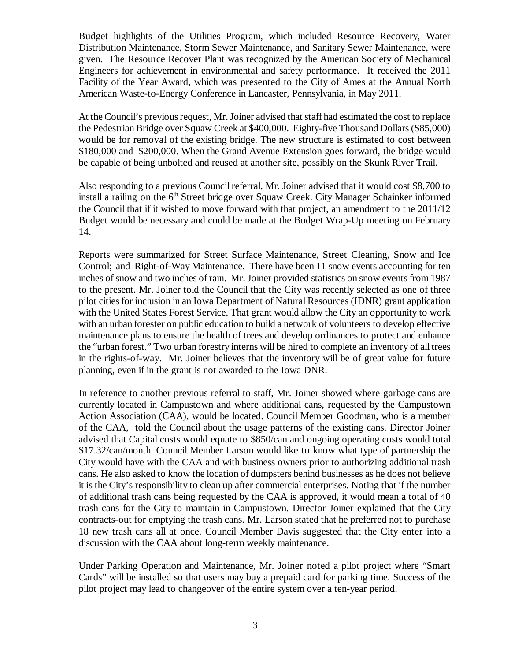Budget highlights of the Utilities Program, which included Resource Recovery, Water Distribution Maintenance, Storm Sewer Maintenance, and Sanitary Sewer Maintenance, were given. The Resource Recover Plant was recognized by the American Society of Mechanical Engineers for achievement in environmental and safety performance. It received the 2011 Facility of the Year Award, which was presented to the City of Ames at the Annual North American Waste-to-Energy Conference in Lancaster, Pennsylvania, in May 2011.

At the Council's previous request, Mr. Joiner advised that staff had estimated the cost to replace the Pedestrian Bridge over Squaw Creek at \$400,000. Eighty-five Thousand Dollars (\$85,000) would be for removal of the existing bridge. The new structure is estimated to cost between \$180,000 and \$200,000. When the Grand Avenue Extension goes forward, the bridge would be capable of being unbolted and reused at another site, possibly on the Skunk River Trail.

Also responding to a previous Council referral, Mr. Joiner advised that it would cost \$8,700 to install a railing on the 6<sup>th</sup> Street bridge over Squaw Creek. City Manager Schainker informed the Council that if it wished to move forward with that project, an amendment to the 2011/12 Budget would be necessary and could be made at the Budget Wrap-Up meeting on February 14.

Reports were summarized for Street Surface Maintenance, Street Cleaning, Snow and Ice Control; and Right-of-Way Maintenance. There have been 11 snow events accounting for ten inches of snow and two inches of rain. Mr. Joiner provided statistics on snow events from 1987 to the present. Mr. Joiner told the Council that the City was recently selected as one of three pilot cities for inclusion in an Iowa Department of Natural Resources (IDNR) grant application with the United States Forest Service. That grant would allow the City an opportunity to work with an urban forester on public education to build a network of volunteers to develop effective maintenance plans to ensure the health of trees and develop ordinances to protect and enhance the "urban forest." Two urban forestry interns will be hired to complete an inventory of all trees in the rights-of-way. Mr. Joiner believes that the inventory will be of great value for future planning, even if in the grant is not awarded to the Iowa DNR.

In reference to another previous referral to staff, Mr. Joiner showed where garbage cans are currently located in Campustown and where additional cans, requested by the Campustown Action Association (CAA), would be located. Council Member Goodman, who is a member of the CAA, told the Council about the usage patterns of the existing cans. Director Joiner advised that Capital costs would equate to \$850/can and ongoing operating costs would total \$17.32/can/month. Council Member Larson would like to know what type of partnership the City would have with the CAA and with business owners prior to authorizing additional trash cans. He also asked to know the location of dumpsters behind businesses as he does not believe it is the City's responsibility to clean up after commercial enterprises. Noting that if the number of additional trash cans being requested by the CAA is approved, it would mean a total of 40 trash cans for the City to maintain in Campustown. Director Joiner explained that the City contracts-out for emptying the trash cans. Mr. Larson stated that he preferred not to purchase 18 new trash cans all at once. Council Member Davis suggested that the City enter into a discussion with the CAA about long-term weekly maintenance.

Under Parking Operation and Maintenance, Mr. Joiner noted a pilot project where "Smart Cards" will be installed so that users may buy a prepaid card for parking time. Success of the pilot project may lead to changeover of the entire system over a ten-year period.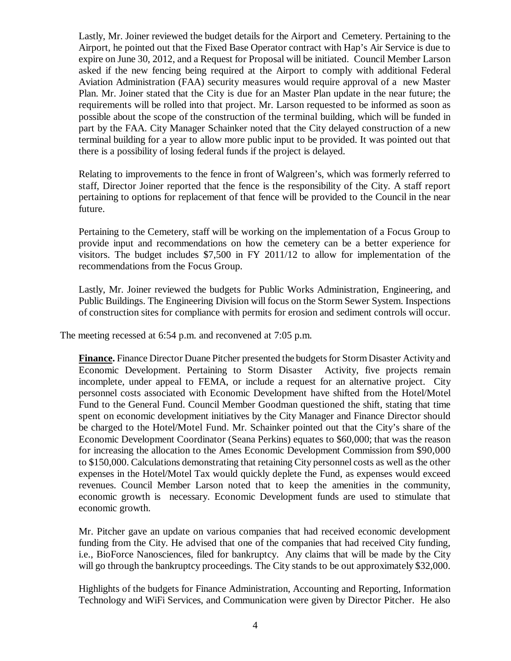Lastly, Mr. Joiner reviewed the budget details for the Airport and Cemetery. Pertaining to the Airport, he pointed out that the Fixed Base Operator contract with Hap's Air Service is due to expire on June 30, 2012, and a Request for Proposal will be initiated. Council Member Larson asked if the new fencing being required at the Airport to comply with additional Federal Aviation Administration (FAA) security measures would require approval of a new Master Plan. Mr. Joiner stated that the City is due for an Master Plan update in the near future; the requirements will be rolled into that project. Mr. Larson requested to be informed as soon as possible about the scope of the construction of the terminal building, which will be funded in part by the FAA. City Manager Schainker noted that the City delayed construction of a new terminal building for a year to allow more public input to be provided. It was pointed out that there is a possibility of losing federal funds if the project is delayed.

Relating to improvements to the fence in front of Walgreen's, which was formerly referred to staff, Director Joiner reported that the fence is the responsibility of the City. A staff report pertaining to options for replacement of that fence will be provided to the Council in the near future.

Pertaining to the Cemetery, staff will be working on the implementation of a Focus Group to provide input and recommendations on how the cemetery can be a better experience for visitors. The budget includes \$7,500 in FY 2011/12 to allow for implementation of the recommendations from the Focus Group.

Lastly, Mr. Joiner reviewed the budgets for Public Works Administration, Engineering, and Public Buildings. The Engineering Division will focus on the Storm Sewer System. Inspections of construction sites for compliance with permits for erosion and sediment controls will occur.

The meeting recessed at 6:54 p.m. and reconvened at 7:05 p.m.

**Finance.** Finance Director Duane Pitcher presented the budgets for Storm Disaster Activity and Economic Development. Pertaining to Storm Disaster Activity, five projects remain incomplete, under appeal to FEMA, or include a request for an alternative project. City personnel costs associated with Economic Development have shifted from the Hotel/Motel Fund to the General Fund. Council Member Goodman questioned the shift, stating that time spent on economic development initiatives by the City Manager and Finance Director should be charged to the Hotel/Motel Fund. Mr. Schainker pointed out that the City's share of the Economic Development Coordinator (Seana Perkins) equates to \$60,000; that was the reason for increasing the allocation to the Ames Economic Development Commission from \$90,000 to \$150,000. Calculations demonstrating that retaining City personnel costs as well as the other expenses in the Hotel/Motel Tax would quickly deplete the Fund, as expenses would exceed revenues. Council Member Larson noted that to keep the amenities in the community, economic growth is necessary. Economic Development funds are used to stimulate that economic growth.

Mr. Pitcher gave an update on various companies that had received economic development funding from the City. He advised that one of the companies that had received City funding, i.e., BioForce Nanosciences, filed for bankruptcy. Any claims that will be made by the City will go through the bankruptcy proceedings. The City stands to be out approximately \$32,000.

Highlights of the budgets for Finance Administration, Accounting and Reporting, Information Technology and WiFi Services, and Communication were given by Director Pitcher. He also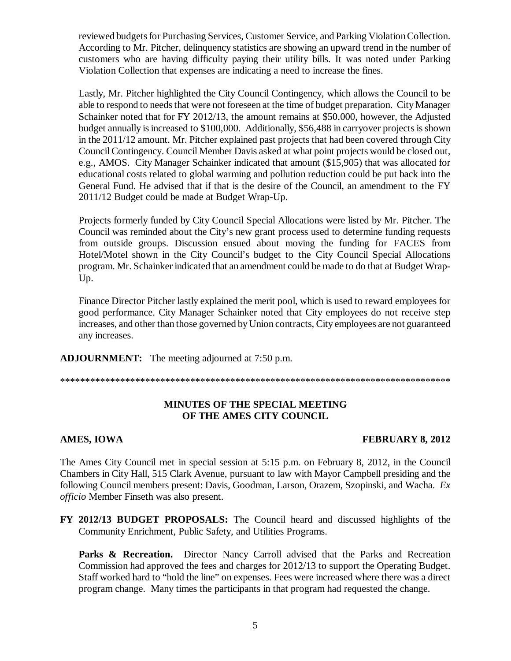reviewed budgets for Purchasing Services, Customer Service, and Parking Violation Collection. According to Mr. Pitcher, delinquency statistics are showing an upward trend in the number of customers who are having difficulty paying their utility bills. It was noted under Parking Violation Collection that expenses are indicating a need to increase the fines.

Lastly, Mr. Pitcher highlighted the City Council Contingency, which allows the Council to be able to respond to needs that were not foreseen at the time of budget preparation. City Manager Schainker noted that for FY 2012/13, the amount remains at \$50,000, however, the Adjusted budget annually is increased to \$100,000. Additionally, \$56,488 in carryover projects is shown in the 2011/12 amount. Mr. Pitcher explained past projects that had been covered through City Council Contingency. Council Member Davis asked at what point projects would be closed out, e.g., AMOS. City Manager Schainker indicated that amount (\$15,905) that was allocated for educational costs related to global warming and pollution reduction could be put back into the General Fund. He advised that if that is the desire of the Council, an amendment to the FY 2011/12 Budget could be made at Budget Wrap-Up.

Projects formerly funded by City Council Special Allocations were listed by Mr. Pitcher. The Council was reminded about the City's new grant process used to determine funding requests from outside groups. Discussion ensued about moving the funding for FACES from Hotel/Motel shown in the City Council's budget to the City Council Special Allocations program. Mr. Schainker indicated that an amendment could be made to do that at Budget Wrap-Up.

Finance Director Pitcher lastly explained the merit pool, which is used to reward employees for good performance. City Manager Schainker noted that City employees do not receive step increases, and other than those governed by Union contracts, City employees are not guaranteed any increases.

**ADJOURNMENT:** The meeting adjourned at 7:50 p.m.

\*\*\*\*\*\*\*\*\*\*\*\*\*\*\*\*\*\*\*\*\*\*\*\*\*\*\*\*\*\*\*\*\*\*\*\*\*\*\*\*\*\*\*\*\*\*\*\*\*\*\*\*\*\*\*\*\*\*\*\*\*\*\*\*\*\*\*\*\*\*\*\*\*\*\*\*\*\*

# **MINUTES OF THE SPECIAL MEETING OF THE AMES CITY COUNCIL**

### AMES, IOWA **FEBRUARY 8, 2012**

The Ames City Council met in special session at 5:15 p.m. on February 8, 2012, in the Council Chambers in City Hall, 515 Clark Avenue, pursuant to law with Mayor Campbell presiding and the following Council members present: Davis, Goodman, Larson, Orazem, Szopinski, and Wacha. *Ex officio* Member Finseth was also present.

**FY 2012/13 BUDGET PROPOSALS:** The Council heard and discussed highlights of the Community Enrichment, Public Safety, and Utilities Programs.

**Parks & Recreation.** Director Nancy Carroll advised that the Parks and Recreation Commission had approved the fees and charges for 2012/13 to support the Operating Budget. Staff worked hard to "hold the line" on expenses. Fees were increased where there was a direct program change. Many times the participants in that program had requested the change.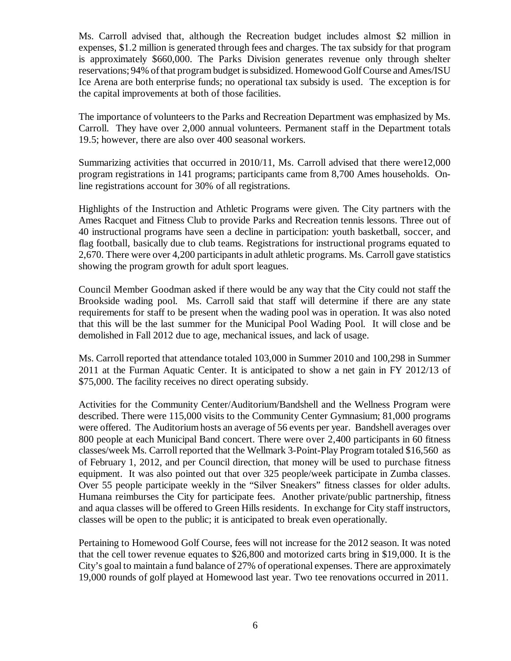Ms. Carroll advised that, although the Recreation budget includes almost \$2 million in expenses, \$1.2 million is generated through fees and charges. The tax subsidy for that program is approximately \$660,000. The Parks Division generates revenue only through shelter reservations; 94% of that program budget is subsidized. Homewood Golf Course and Ames/ISU Ice Arena are both enterprise funds; no operational tax subsidy is used. The exception is for the capital improvements at both of those facilities.

The importance of volunteers to the Parks and Recreation Department was emphasized by Ms. Carroll. They have over 2,000 annual volunteers. Permanent staff in the Department totals 19.5; however, there are also over 400 seasonal workers.

Summarizing activities that occurred in 2010/11, Ms. Carroll advised that there were12,000 program registrations in 141 programs; participants came from 8,700 Ames households. Online registrations account for 30% of all registrations.

Highlights of the Instruction and Athletic Programs were given. The City partners with the Ames Racquet and Fitness Club to provide Parks and Recreation tennis lessons. Three out of 40 instructional programs have seen a decline in participation: youth basketball, soccer, and flag football, basically due to club teams. Registrations for instructional programs equated to 2,670. There were over 4,200 participants in adult athletic programs. Ms. Carroll gave statistics showing the program growth for adult sport leagues.

Council Member Goodman asked if there would be any way that the City could not staff the Brookside wading pool. Ms. Carroll said that staff will determine if there are any state requirements for staff to be present when the wading pool was in operation. It was also noted that this will be the last summer for the Municipal Pool Wading Pool. It will close and be demolished in Fall 2012 due to age, mechanical issues, and lack of usage.

Ms. Carroll reported that attendance totaled 103,000 in Summer 2010 and 100,298 in Summer 2011 at the Furman Aquatic Center. It is anticipated to show a net gain in FY 2012/13 of \$75,000. The facility receives no direct operating subsidy.

Activities for the Community Center/Auditorium/Bandshell and the Wellness Program were described. There were 115,000 visits to the Community Center Gymnasium; 81,000 programs were offered. The Auditorium hosts an average of 56 events per year. Bandshell averages over 800 people at each Municipal Band concert. There were over 2,400 participants in 60 fitness classes/week Ms. Carroll reported that the Wellmark 3-Point-Play Program totaled \$16,560 as of February 1, 2012, and per Council direction, that money will be used to purchase fitness equipment. It was also pointed out that over 325 people/week participate in Zumba classes. Over 55 people participate weekly in the "Silver Sneakers" fitness classes for older adults. Humana reimburses the City for participate fees. Another private/public partnership, fitness and aqua classes will be offered to Green Hills residents. In exchange for City staff instructors, classes will be open to the public; it is anticipated to break even operationally.

Pertaining to Homewood Golf Course, fees will not increase for the 2012 season. It was noted that the cell tower revenue equates to \$26,800 and motorized carts bring in \$19,000. It is the City's goal to maintain a fund balance of 27% of operational expenses. There are approximately 19,000 rounds of golf played at Homewood last year. Two tee renovations occurred in 2011.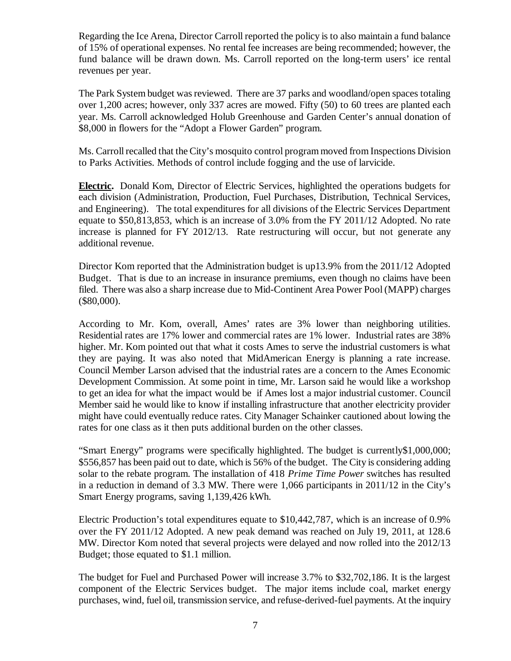Regarding the Ice Arena, Director Carroll reported the policy is to also maintain a fund balance of 15% of operational expenses. No rental fee increases are being recommended; however, the fund balance will be drawn down. Ms. Carroll reported on the long-term users' ice rental revenues per year.

The Park System budget was reviewed. There are 37 parks and woodland/open spaces totaling over 1,200 acres; however, only 337 acres are mowed. Fifty (50) to 60 trees are planted each year. Ms. Carroll acknowledged Holub Greenhouse and Garden Center's annual donation of \$8,000 in flowers for the "Adopt a Flower Garden" program.

Ms. Carroll recalled that the City's mosquito control program moved from Inspections Division to Parks Activities. Methods of control include fogging and the use of larvicide.

**Electric.** Donald Kom, Director of Electric Services, highlighted the operations budgets for each division (Administration, Production, Fuel Purchases, Distribution, Technical Services, and Engineering). The total expenditures for all divisions of the Electric Services Department equate to \$50,813,853, which is an increase of 3.0% from the FY 2011/12 Adopted. No rate increase is planned for FY 2012/13. Rate restructuring will occur, but not generate any additional revenue.

Director Kom reported that the Administration budget is up13.9% from the 2011/12 Adopted Budget. That is due to an increase in insurance premiums, even though no claims have been filed. There was also a sharp increase due to Mid-Continent Area Power Pool (MAPP) charges (\$80,000).

According to Mr. Kom, overall, Ames' rates are 3% lower than neighboring utilities. Residential rates are 17% lower and commercial rates are 1% lower. Industrial rates are 38% higher. Mr. Kom pointed out that what it costs Ames to serve the industrial customers is what they are paying. It was also noted that MidAmerican Energy is planning a rate increase. Council Member Larson advised that the industrial rates are a concern to the Ames Economic Development Commission. At some point in time, Mr. Larson said he would like a workshop to get an idea for what the impact would be if Ames lost a major industrial customer. Council Member said he would like to know if installing infrastructure that another electricity provider might have could eventually reduce rates. City Manager Schainker cautioned about lowing the rates for one class as it then puts additional burden on the other classes.

"Smart Energy" programs were specifically highlighted. The budget is currently\$1,000,000; \$556,857 has been paid out to date, which is 56% of the budget. The City is considering adding solar to the rebate program. The installation of 418 *Prime Time Power* switches has resulted in a reduction in demand of 3.3 MW. There were 1,066 participants in 2011/12 in the City's Smart Energy programs, saving 1,139,426 kWh.

Electric Production's total expenditures equate to \$10,442,787, which is an increase of 0.9% over the FY 2011/12 Adopted. A new peak demand was reached on July 19, 2011, at 128.6 MW. Director Kom noted that several projects were delayed and now rolled into the 2012/13 Budget; those equated to \$1.1 million.

The budget for Fuel and Purchased Power will increase 3.7% to \$32,702,186. It is the largest component of the Electric Services budget. The major items include coal, market energy purchases, wind, fuel oil, transmission service, and refuse-derived-fuel payments. At the inquiry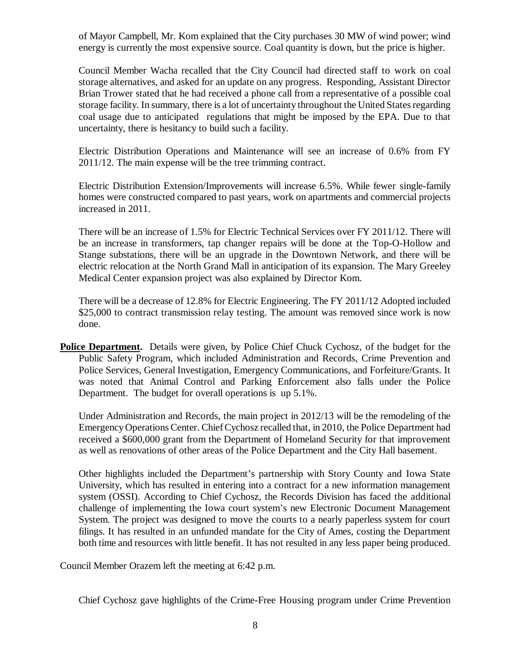of Mayor Campbell, Mr. Kom explained that the City purchases 30 MW of wind power; wind energy is currently the most expensive source. Coal quantity is down, but the price is higher.

Council Member Wacha recalled that the City Council had directed staff to work on coal storage alternatives, and asked for an update on any progress. Responding, Assistant Director Brian Trower stated that he had received a phone call from a representative of a possible coal storage facility. In summary, there is a lot of uncertainty throughout the United States regarding coal usage due to anticipated regulations that might be imposed by the EPA. Due to that uncertainty, there is hesitancy to build such a facility.

Electric Distribution Operations and Maintenance will see an increase of 0.6% from FY 2011/12. The main expense will be the tree trimming contract.

Electric Distribution Extension/Improvements will increase 6.5%. While fewer single-family homes were constructed compared to past years, work on apartments and commercial projects increased in 2011.

There will be an increase of 1.5% for Electric Technical Services over FY 2011/12. There will be an increase in transformers, tap changer repairs will be done at the Top-O-Hollow and Stange substations, there will be an upgrade in the Downtown Network, and there will be electric relocation at the North Grand Mall in anticipation of its expansion. The Mary Greeley Medical Center expansion project was also explained by Director Kom.

There will be a decrease of 12.8% for Electric Engineering. The FY 2011/12 Adopted included \$25,000 to contract transmission relay testing. The amount was removed since work is now done.

**Police Department.** Details were given, by Police Chief Chuck Cychosz, of the budget for the Public Safety Program, which included Administration and Records, Crime Prevention and Police Services, General Investigation, Emergency Communications, and Forfeiture/Grants. It was noted that Animal Control and Parking Enforcement also falls under the Police Department. The budget for overall operations is up 5.1%.

Under Administration and Records, the main project in 2012/13 will be the remodeling of the Emergency Operations Center. Chief Cychosz recalled that, in 2010, the Police Department had received a \$600,000 grant from the Department of Homeland Security for that improvement as well as renovations of other areas of the Police Department and the City Hall basement.

Other highlights included the Department's partnership with Story County and Iowa State University, which has resulted in entering into a contract for a new information management system (OSSI). According to Chief Cychosz, the Records Division has faced the additional challenge of implementing the Iowa court system's new Electronic Document Management System. The project was designed to move the courts to a nearly paperless system for court filings. It has resulted in an unfunded mandate for the City of Ames, costing the Department both time and resources with little benefit. It has not resulted in any less paper being produced.

Council Member Orazem left the meeting at 6:42 p.m.

Chief Cychosz gave highlights of the Crime-Free Housing program under Crime Prevention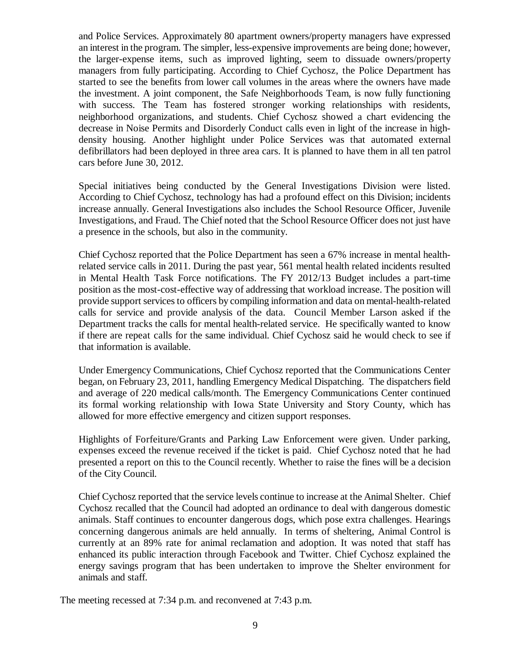and Police Services. Approximately 80 apartment owners/property managers have expressed an interest in the program. The simpler, less-expensive improvements are being done; however, the larger-expense items, such as improved lighting, seem to dissuade owners/property managers from fully participating. According to Chief Cychosz, the Police Department has started to see the benefits from lower call volumes in the areas where the owners have made the investment. A joint component, the Safe Neighborhoods Team, is now fully functioning with success. The Team has fostered stronger working relationships with residents, neighborhood organizations, and students. Chief Cychosz showed a chart evidencing the decrease in Noise Permits and Disorderly Conduct calls even in light of the increase in highdensity housing. Another highlight under Police Services was that automated external defibrillators had been deployed in three area cars. It is planned to have them in all ten patrol cars before June 30, 2012.

Special initiatives being conducted by the General Investigations Division were listed. According to Chief Cychosz, technology has had a profound effect on this Division; incidents increase annually. General Investigations also includes the School Resource Officer, Juvenile Investigations, and Fraud. The Chief noted that the School Resource Officer does not just have a presence in the schools, but also in the community.

Chief Cychosz reported that the Police Department has seen a 67% increase in mental healthrelated service calls in 2011. During the past year, 561 mental health related incidents resulted in Mental Health Task Force notifications. The FY 2012/13 Budget includes a part-time position as the most-cost-effective way of addressing that workload increase. The position will provide support services to officers by compiling information and data on mental-health-related calls for service and provide analysis of the data. Council Member Larson asked if the Department tracks the calls for mental health-related service. He specifically wanted to know if there are repeat calls for the same individual. Chief Cychosz said he would check to see if that information is available.

Under Emergency Communications, Chief Cychosz reported that the Communications Center began, on February 23, 2011, handling Emergency Medical Dispatching. The dispatchers field and average of 220 medical calls/month. The Emergency Communications Center continued its formal working relationship with Iowa State University and Story County, which has allowed for more effective emergency and citizen support responses.

Highlights of Forfeiture/Grants and Parking Law Enforcement were given. Under parking, expenses exceed the revenue received if the ticket is paid. Chief Cychosz noted that he had presented a report on this to the Council recently. Whether to raise the fines will be a decision of the City Council.

Chief Cychosz reported that the service levels continue to increase at the Animal Shelter. Chief Cychosz recalled that the Council had adopted an ordinance to deal with dangerous domestic animals. Staff continues to encounter dangerous dogs, which pose extra challenges. Hearings concerning dangerous animals are held annually. In terms of sheltering, Animal Control is currently at an 89% rate for animal reclamation and adoption. It was noted that staff has enhanced its public interaction through Facebook and Twitter. Chief Cychosz explained the energy savings program that has been undertaken to improve the Shelter environment for animals and staff.

The meeting recessed at 7:34 p.m. and reconvened at 7:43 p.m.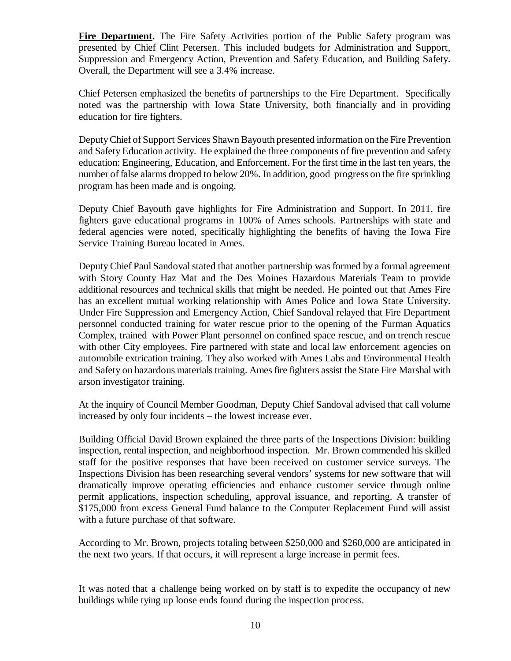**Fire Department.** The Fire Safety Activities portion of the Public Safety program was presented by Chief Clint Petersen. This included budgets for Administration and Support, Suppression and Emergency Action, Prevention and Safety Education, and Building Safety. Overall, the Department will see a 3.4% increase.

Chief Petersen emphasized the benefits of partnerships to the Fire Department. Specifically noted was the partnership with Iowa State University, both financially and in providing education for fire fighters.

Deputy Chief of Support Services Shawn Bayouth presented information on the Fire Prevention and Safety Education activity. He explained the three components of fire prevention and safety education: Engineering, Education, and Enforcement. For the first time in the last ten years, the number of false alarms dropped to below 20%. In addition, good progress on the fire sprinkling program has been made and is ongoing.

Deputy Chief Bayouth gave highlights for Fire Administration and Support. In 2011, fire fighters gave educational programs in 100% of Ames schools. Partnerships with state and federal agencies were noted, specifically highlighting the benefits of having the Iowa Fire Service Training Bureau located in Ames.

Deputy Chief Paul Sandoval stated that another partnership was formed by a formal agreement with Story County Haz Mat and the Des Moines Hazardous Materials Team to provide additional resources and technical skills that might be needed. He pointed out that Ames Fire has an excellent mutual working relationship with Ames Police and Iowa State University. Under Fire Suppression and Emergency Action, Chief Sandoval relayed that Fire Department personnel conducted training for water rescue prior to the opening of the Furman Aquatics Complex, trained with Power Plant personnel on confined space rescue, and on trench rescue with other City employees. Fire partnered with state and local law enforcement agencies on automobile extrication training. They also worked with Ames Labs and Environmental Health and Safety on hazardous materials training. Ames fire fighters assist the State Fire Marshal with arson investigator training.

At the inquiry of Council Member Goodman, Deputy Chief Sandoval advised that call volume increased by only four incidents – the lowest increase ever.

Building Official David Brown explained the three parts of the Inspections Division: building inspection, rental inspection, and neighborhood inspection. Mr. Brown commended his skilled staff for the positive responses that have been received on customer service surveys. The Inspections Division has been researching several vendors' systems for new software that will dramatically improve operating efficiencies and enhance customer service through online permit applications, inspection scheduling, approval issuance, and reporting. A transfer of \$175,000 from excess General Fund balance to the Computer Replacement Fund will assist with a future purchase of that software.

According to Mr. Brown, projects totaling between \$250,000 and \$260,000 are anticipated in the next two years. If that occurs, it will represent a large increase in permit fees.

It was noted that a challenge being worked on by staff is to expedite the occupancy of new buildings while tying up loose ends found during the inspection process.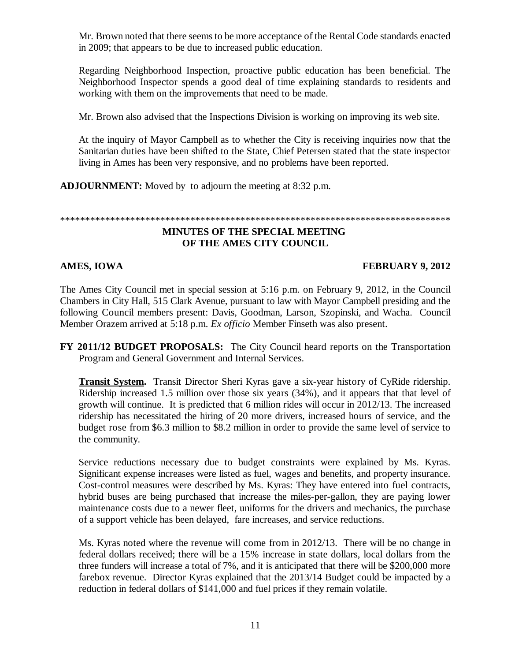Mr. Brown noted that there seems to be more acceptance of the Rental Code standards enacted in 2009; that appears to be due to increased public education.

Regarding Neighborhood Inspection, proactive public education has been beneficial. The Neighborhood Inspector spends a good deal of time explaining standards to residents and working with them on the improvements that need to be made.

Mr. Brown also advised that the Inspections Division is working on improving its web site.

At the inquiry of Mayor Campbell as to whether the City is receiving inquiries now that the Sanitarian duties have been shifted to the State, Chief Petersen stated that the state inspector living in Ames has been very responsive, and no problems have been reported.

**ADJOURNMENT:** Moved by to adjourn the meeting at 8:32 p.m.

### \*\*\*\*\*\*\*\*\*\*\*\*\*\*\*\*\*\*\*\*\*\*\*\*\*\*\*\*\*\*\*\*\*\*\*\*\*\*\*\*\*\*\*\*\*\*\*\*\*\*\*\*\*\*\*\*\*\*\*\*\*\*\*\*\*\*\*\*\*\*\*\*\*\*\*\*\*\*

# **MINUTES OF THE SPECIAL MEETING OF THE AMES CITY COUNCIL**

# **AMES, IOWA FEBRUARY 9, 2012**

The Ames City Council met in special session at 5:16 p.m. on February 9, 2012, in the Council Chambers in City Hall, 515 Clark Avenue, pursuant to law with Mayor Campbell presiding and the following Council members present: Davis, Goodman, Larson, Szopinski, and Wacha. Council Member Orazem arrived at 5:18 p.m. *Ex officio* Member Finseth was also present.

**FY 2011/12 BUDGET PROPOSALS:** The City Council heard reports on the Transportation Program and General Government and Internal Services.

**Transit System.** Transit Director Sheri Kyras gave a six-year history of CyRide ridership. Ridership increased 1.5 million over those six years (34%), and it appears that that level of growth will continue. It is predicted that 6 million rides will occur in 2012/13. The increased ridership has necessitated the hiring of 20 more drivers, increased hours of service, and the budget rose from \$6.3 million to \$8.2 million in order to provide the same level of service to the community.

Service reductions necessary due to budget constraints were explained by Ms. Kyras. Significant expense increases were listed as fuel, wages and benefits, and property insurance. Cost-control measures were described by Ms. Kyras: They have entered into fuel contracts, hybrid buses are being purchased that increase the miles-per-gallon, they are paying lower maintenance costs due to a newer fleet, uniforms for the drivers and mechanics, the purchase of a support vehicle has been delayed, fare increases, and service reductions.

Ms. Kyras noted where the revenue will come from in 2012/13. There will be no change in federal dollars received; there will be a 15% increase in state dollars, local dollars from the three funders will increase a total of 7%, and it is anticipated that there will be \$200,000 more farebox revenue. Director Kyras explained that the 2013/14 Budget could be impacted by a reduction in federal dollars of \$141,000 and fuel prices if they remain volatile.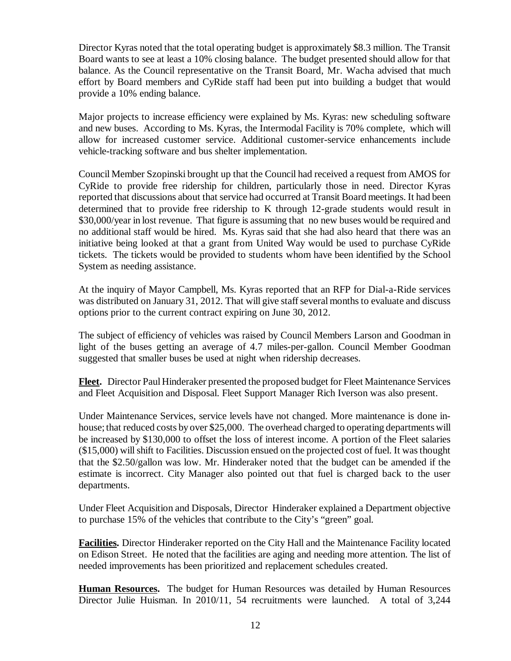Director Kyras noted that the total operating budget is approximately \$8.3 million. The Transit Board wants to see at least a 10% closing balance. The budget presented should allow for that balance. As the Council representative on the Transit Board, Mr. Wacha advised that much effort by Board members and CyRide staff had been put into building a budget that would provide a 10% ending balance.

Major projects to increase efficiency were explained by Ms. Kyras: new scheduling software and new buses. According to Ms. Kyras, the Intermodal Facility is 70% complete, which will allow for increased customer service. Additional customer-service enhancements include vehicle-tracking software and bus shelter implementation.

Council Member Szopinski brought up that the Council had received a request from AMOS for CyRide to provide free ridership for children, particularly those in need. Director Kyras reported that discussions about that service had occurred at Transit Board meetings. It had been determined that to provide free ridership to K through 12-grade students would result in \$30,000/year in lost revenue. That figure is assuming that no new buses would be required and no additional staff would be hired. Ms. Kyras said that she had also heard that there was an initiative being looked at that a grant from United Way would be used to purchase CyRide tickets. The tickets would be provided to students whom have been identified by the School System as needing assistance.

At the inquiry of Mayor Campbell, Ms. Kyras reported that an RFP for Dial-a-Ride services was distributed on January 31, 2012. That will give staff several months to evaluate and discuss options prior to the current contract expiring on June 30, 2012.

The subject of efficiency of vehicles was raised by Council Members Larson and Goodman in light of the buses getting an average of 4.7 miles-per-gallon. Council Member Goodman suggested that smaller buses be used at night when ridership decreases.

**Fleet.** Director Paul Hinderaker presented the proposed budget for Fleet Maintenance Services and Fleet Acquisition and Disposal. Fleet Support Manager Rich Iverson was also present.

Under Maintenance Services, service levels have not changed. More maintenance is done inhouse; that reduced costs by over \$25,000. The overhead charged to operating departments will be increased by \$130,000 to offset the loss of interest income. A portion of the Fleet salaries (\$15,000) will shift to Facilities. Discussion ensued on the projected cost of fuel. It was thought that the \$2.50/gallon was low. Mr. Hinderaker noted that the budget can be amended if the estimate is incorrect. City Manager also pointed out that fuel is charged back to the user departments.

Under Fleet Acquisition and Disposals, Director Hinderaker explained a Department objective to purchase 15% of the vehicles that contribute to the City's "green" goal.

**Facilities.** Director Hinderaker reported on the City Hall and the Maintenance Facility located on Edison Street. He noted that the facilities are aging and needing more attention. The list of needed improvements has been prioritized and replacement schedules created.

**Human Resources.** The budget for Human Resources was detailed by Human Resources Director Julie Huisman. In 2010/11, 54 recruitments were launched. A total of 3,244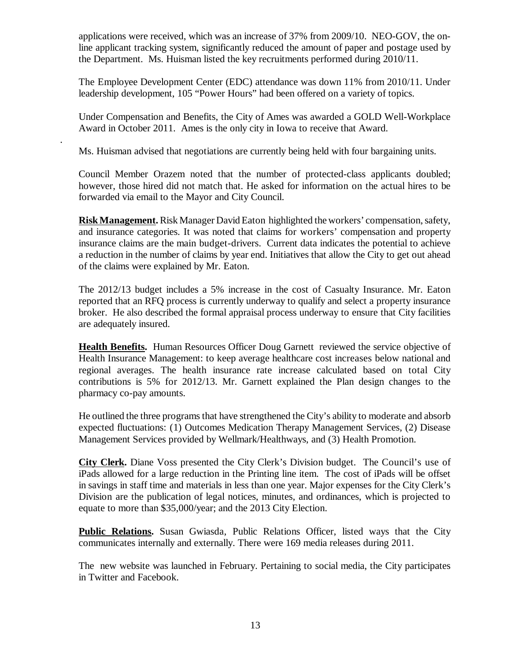applications were received, which was an increase of 37% from 2009/10. NEO-GOV, the online applicant tracking system, significantly reduced the amount of paper and postage used by the Department. Ms. Huisman listed the key recruitments performed during 2010/11.

The Employee Development Center (EDC) attendance was down 11% from 2010/11. Under leadership development, 105 "Power Hours" had been offered on a variety of topics.

Under Compensation and Benefits, the City of Ames was awarded a GOLD Well-Workplace Award in October 2011. Ames is the only city in Iowa to receive that Award.

Ms. Huisman advised that negotiations are currently being held with four bargaining units.

.

Council Member Orazem noted that the number of protected-class applicants doubled; however, those hired did not match that. He asked for information on the actual hires to be forwarded via email to the Mayor and City Council.

**Risk Management.** Risk Manager David Eaton highlighted the workers' compensation, safety, and insurance categories. It was noted that claims for workers' compensation and property insurance claims are the main budget-drivers. Current data indicates the potential to achieve a reduction in the number of claims by year end. Initiatives that allow the City to get out ahead of the claims were explained by Mr. Eaton.

The 2012/13 budget includes a 5% increase in the cost of Casualty Insurance. Mr. Eaton reported that an RFQ process is currently underway to qualify and select a property insurance broker. He also described the formal appraisal process underway to ensure that City facilities are adequately insured.

**Health Benefits.** Human Resources Officer Doug Garnett reviewed the service objective of Health Insurance Management: to keep average healthcare cost increases below national and regional averages. The health insurance rate increase calculated based on total City contributions is 5% for 2012/13. Mr. Garnett explained the Plan design changes to the pharmacy co-pay amounts.

He outlined the three programs that have strengthened the City's ability to moderate and absorb expected fluctuations: (1) Outcomes Medication Therapy Management Services, (2) Disease Management Services provided by Wellmark/Healthways, and (3) Health Promotion.

**City Clerk.** Diane Voss presented the City Clerk's Division budget. The Council's use of iPads allowed for a large reduction in the Printing line item. The cost of iPads will be offset in savings in staff time and materials in less than one year. Major expenses for the City Clerk's Division are the publication of legal notices, minutes, and ordinances, which is projected to equate to more than \$35,000/year; and the 2013 City Election.

**Public Relations.** Susan Gwiasda, Public Relations Officer, listed ways that the City communicates internally and externally. There were 169 media releases during 2011.

The new website was launched in February. Pertaining to social media, the City participates in Twitter and Facebook.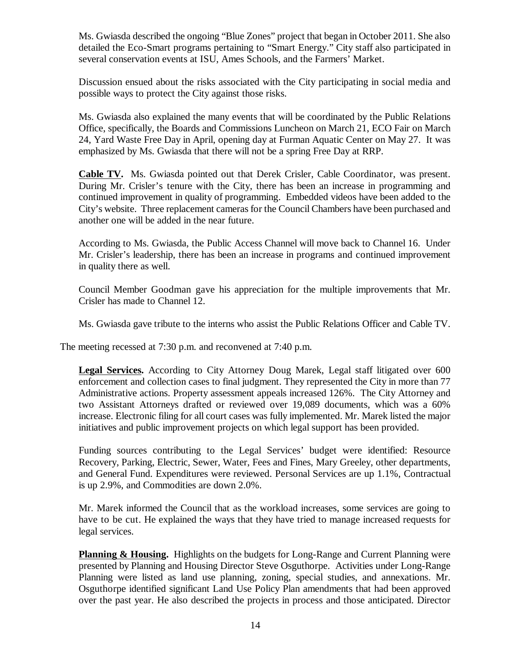Ms. Gwiasda described the ongoing "Blue Zones" project that began in October 2011. She also detailed the Eco-Smart programs pertaining to "Smart Energy." City staff also participated in several conservation events at ISU, Ames Schools, and the Farmers' Market.

Discussion ensued about the risks associated with the City participating in social media and possible ways to protect the City against those risks.

Ms. Gwiasda also explained the many events that will be coordinated by the Public Relations Office, specifically, the Boards and Commissions Luncheon on March 21, ECO Fair on March 24, Yard Waste Free Day in April, opening day at Furman Aquatic Center on May 27. It was emphasized by Ms. Gwiasda that there will not be a spring Free Day at RRP.

**Cable TV.** Ms. Gwiasda pointed out that Derek Crisler, Cable Coordinator, was present. During Mr. Crisler's tenure with the City, there has been an increase in programming and continued improvement in quality of programming. Embedded videos have been added to the City's website. Three replacement cameras for the Council Chambers have been purchased and another one will be added in the near future.

According to Ms. Gwiasda, the Public Access Channel will move back to Channel 16. Under Mr. Crisler's leadership, there has been an increase in programs and continued improvement in quality there as well.

Council Member Goodman gave his appreciation for the multiple improvements that Mr. Crisler has made to Channel 12.

Ms. Gwiasda gave tribute to the interns who assist the Public Relations Officer and Cable TV.

The meeting recessed at 7:30 p.m. and reconvened at 7:40 p.m.

**Legal Services.** According to City Attorney Doug Marek, Legal staff litigated over 600 enforcement and collection cases to final judgment. They represented the City in more than 77 Administrative actions. Property assessment appeals increased 126%. The City Attorney and two Assistant Attorneys drafted or reviewed over 19,089 documents, which was a 60% increase. Electronic filing for all court cases was fully implemented. Mr. Marek listed the major initiatives and public improvement projects on which legal support has been provided.

Funding sources contributing to the Legal Services' budget were identified: Resource Recovery, Parking, Electric, Sewer, Water, Fees and Fines, Mary Greeley, other departments, and General Fund. Expenditures were reviewed. Personal Services are up 1.1%, Contractual is up 2.9%, and Commodities are down 2.0%.

Mr. Marek informed the Council that as the workload increases, some services are going to have to be cut. He explained the ways that they have tried to manage increased requests for legal services.

**Planning & Housing.** Highlights on the budgets for Long-Range and Current Planning were presented by Planning and Housing Director Steve Osguthorpe. Activities under Long-Range Planning were listed as land use planning, zoning, special studies, and annexations. Mr. Osguthorpe identified significant Land Use Policy Plan amendments that had been approved over the past year. He also described the projects in process and those anticipated. Director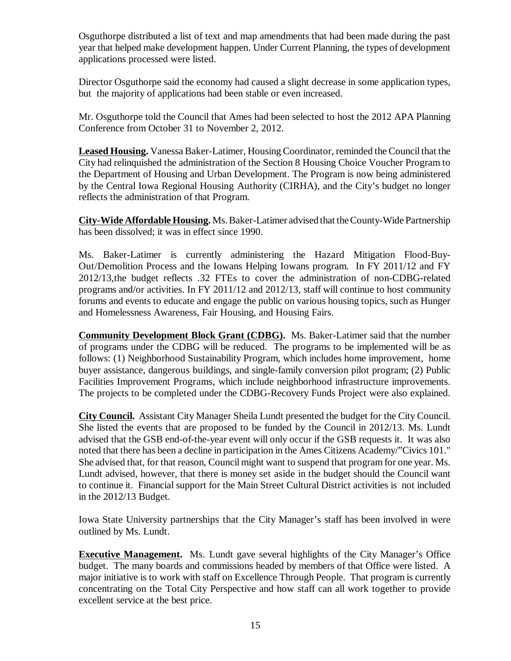Osguthorpe distributed a list of text and map amendments that had been made during the past year that helped make development happen. Under Current Planning, the types of development applications processed were listed.

Director Osguthorpe said the economy had caused a slight decrease in some application types, but the majority of applications had been stable or even increased.

Mr. Osguthorpe told the Council that Ames had been selected to host the 2012 APA Planning Conference from October 31 to November 2, 2012.

**Leased Housing.** Vanessa Baker-Latimer, Housing Coordinator, reminded the Council that the City had relinquished the administration of the Section 8 Housing Choice Voucher Program to the Department of Housing and Urban Development. The Program is now being administered by the Central Iowa Regional Housing Authority (CIRHA), and the City's budget no longer reflects the administration of that Program.

**City-Wide Affordable Housing.** Ms. Baker-Latimer advised that the County-Wide Partnership has been dissolved; it was in effect since 1990.

Ms. Baker-Latimer is currently administering the Hazard Mitigation Flood-Buy-Out/Demolition Process and the Iowans Helping Iowans program. In FY 2011/12 and FY 2012/13,the budget reflects .32 FTEs to cover the administration of non-CDBG-related programs and/or activities. In FY 2011/12 and 2012/13, staff will continue to host community forums and events to educate and engage the public on various housing topics, such as Hunger and Homelessness Awareness, Fair Housing, and Housing Fairs.

**Community Development Block Grant (CDBG).** Ms. Baker-Latimer said that the number of programs under the CDBG will be reduced. The programs to be implemented will be as follows: (1) Neighborhood Sustainability Program, which includes home improvement, home buyer assistance, dangerous buildings, and single-family conversion pilot program; (2) Public Facilities Improvement Programs, which include neighborhood infrastructure improvements. The projects to be completed under the CDBG-Recovery Funds Project were also explained.

**City Council.** Assistant City Manager Sheila Lundt presented the budget for the City Council. She listed the events that are proposed to be funded by the Council in 2012/13. Ms. Lundt advised that the GSB end-of-the-year event will only occur if the GSB requests it. It was also noted that there has been a decline in participation in the Ames Citizens Academy/"Civics 101." She advised that, for that reason, Council might want to suspend that program for one year. Ms. Lundt advised, however, that there is money set aside in the budget should the Council want to continue it. Financial support for the Main Street Cultural District activities is not included in the 2012/13 Budget.

Iowa State University partnerships that the City Manager's staff has been involved in were outlined by Ms. Lundt.

**Executive Management.** Ms. Lundt gave several highlights of the City Manager's Office budget. The many boards and commissions headed by members of that Office were listed. A major initiative is to work with staff on Excellence Through People. That program is currently concentrating on the Total City Perspective and how staff can all work together to provide excellent service at the best price.